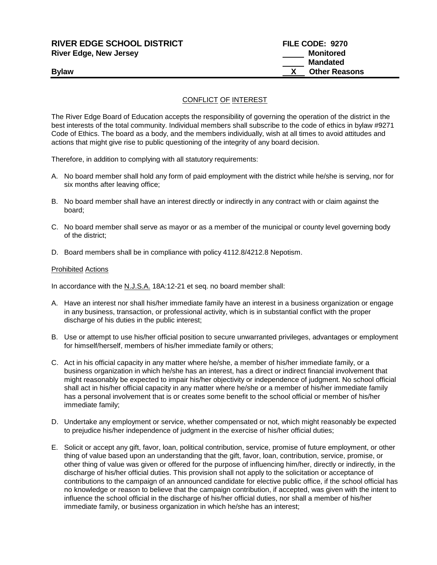# **RIVER EDGE SCHOOL DISTRICT FILE CODE: 9270 River Edge, New Jersey Monitored**

# CONFLICT OF INTEREST

The River Edge Board of Education accepts the responsibility of governing the operation of the district in the best interests of the total community. Individual members shall subscribe to the code of ethics in bylaw #9271 Code of Ethics. The board as a body, and the members individually, wish at all times to avoid attitudes and actions that might give rise to public questioning of the integrity of any board decision.

Therefore, in addition to complying with all statutory requirements:

- A. No board member shall hold any form of paid employment with the district while he/she is serving, nor for six months after leaving office;
- B. No board member shall have an interest directly or indirectly in any contract with or claim against the board;
- C. No board member shall serve as mayor or as a member of the municipal or county level governing body of the district;
- D. Board members shall be in compliance with policy 4112.8/4212.8 Nepotism.

#### Prohibited Actions

In accordance with the N.J.S.A. 18A:12-21 et seq. no board member shall:

- A. Have an interest nor shall his/her immediate family have an interest in a business organization or engage in any business, transaction, or professional activity, which is in substantial conflict with the proper discharge of his duties in the public interest;
- B. Use or attempt to use his/her official position to secure unwarranted privileges, advantages or employment for himself/herself, members of his/her immediate family or others;
- C. Act in his official capacity in any matter where he/she, a member of his/her immediate family, or a business organization in which he/she has an interest, has a direct or indirect financial involvement that might reasonably be expected to impair his/her objectivity or independence of judgment. No school official shall act in his/her official capacity in any matter where he/she or a member of his/her immediate family has a personal involvement that is or creates some benefit to the school official or member of his/her immediate family;
- D. Undertake any employment or service, whether compensated or not, which might reasonably be expected to prejudice his/her independence of judgment in the exercise of his/her official duties;
- E. Solicit or accept any gift, favor, loan, political contribution, service, promise of future employment, or other thing of value based upon an understanding that the gift, favor, loan, contribution, service, promise, or other thing of value was given or offered for the purpose of influencing him/her, directly or indirectly, in the discharge of his/her official duties. This provision shall not apply to the solicitation or acceptance of contributions to the campaign of an announced candidate for elective public office, if the school official has no knowledge or reason to believe that the campaign contribution, if accepted, was given with the intent to influence the school official in the discharge of his/her official duties, nor shall a member of his/her immediate family, or business organization in which he/she has an interest;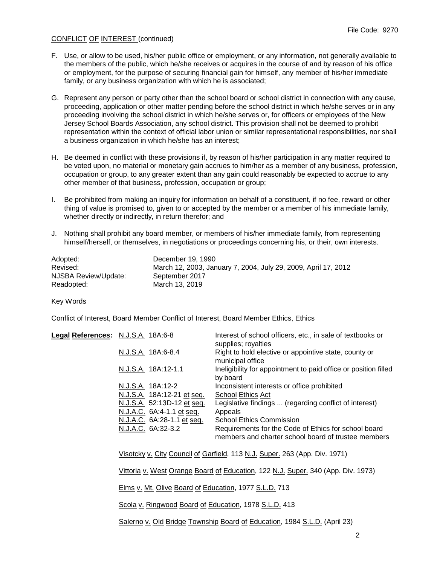## CONFLICT OF INTEREST (continued)

- F. Use, or allow to be used, his/her public office or employment, or any information, not generally available to the members of the public, which he/she receives or acquires in the course of and by reason of his office or employment, for the purpose of securing financial gain for himself, any member of his/her immediate family, or any business organization with which he is associated;
- G. Represent any person or party other than the school board or school district in connection with any cause, proceeding, application or other matter pending before the school district in which he/she serves or in any proceeding involving the school district in which he/she serves or, for officers or employees of the New Jersey School Boards Association, any school district. This provision shall not be deemed to prohibit representation within the context of official labor union or similar representational responsibilities, nor shall a business organization in which he/she has an interest;
- H. Be deemed in conflict with these provisions if, by reason of his/her participation in any matter required to be voted upon, no material or monetary gain accrues to him/her as a member of any business, profession, occupation or group, to any greater extent than any gain could reasonably be expected to accrue to any other member of that business, profession, occupation or group;
- I. Be prohibited from making an inquiry for information on behalf of a constituent, if no fee, reward or other thing of value is promised to, given to or accepted by the member or a member of his immediate family, whether directly or indirectly, in return therefor; and
- J. Nothing shall prohibit any board member, or members of his/her immediate family, from representing himself/herself, or themselves, in negotiations or proceedings concerning his, or their, own interests.

| Adopted:             | December 19, 1990                                              |
|----------------------|----------------------------------------------------------------|
| Revised:             | March 12, 2003, January 7, 2004, July 29, 2009, April 17, 2012 |
| NJSBA Review/Update: | September 2017                                                 |
| Readopted:           | March 13, 2019                                                 |

### Key Words

Conflict of Interest, Board Member Conflict of Interest, Board Member Ethics, Ethics

| Legal References: N.J.S.A. 18A:6-8 |                            | Interest of school officers, etc., in sale of textbooks or<br>supplies; royalties                           |
|------------------------------------|----------------------------|-------------------------------------------------------------------------------------------------------------|
|                                    | N.J.S.A. 18A:6-8.4         | Right to hold elective or appointive state, county or<br>municipal office                                   |
|                                    | N.J.S.A. 18A:12-1.1        | Ineligibility for appointment to paid office or position filled<br>by board                                 |
|                                    | N.J.S.A. 18A:12-2          | Inconsistent interests or office prohibited                                                                 |
|                                    | N.J.S.A. 18A:12-21 et seq. | <b>School Ethics Act</b>                                                                                    |
|                                    | N.J.S.A. 52:13D-12 et seq. | Legislative findings  (regarding conflict of interest)                                                      |
|                                    | N.J.A.C. 6A:4-1.1 et seq.  | Appeals                                                                                                     |
|                                    | N.J.A.C. 6A:28-1.1 et seq. | <b>School Ethics Commission</b>                                                                             |
|                                    | N.J.A.C. 6A:32-3.2         | Requirements for the Code of Ethics for school board<br>members and charter school board of trustee members |

Visotcky v. City Council of Garfield, 113 N.J. Super. 263 (App. Div. 1971)

Vittoria v. West Orange Board of Education, 122 N.J. Super. 340 (App. Div. 1973)

Elms v. Mt. Olive Board of Education, 1977 S.L.D. 713

Scola v. Ringwood Board of Education, 1978 S.L.D. 413

Salerno v. Old Bridge Township Board of Education, 1984 S.L.D. (April 23)